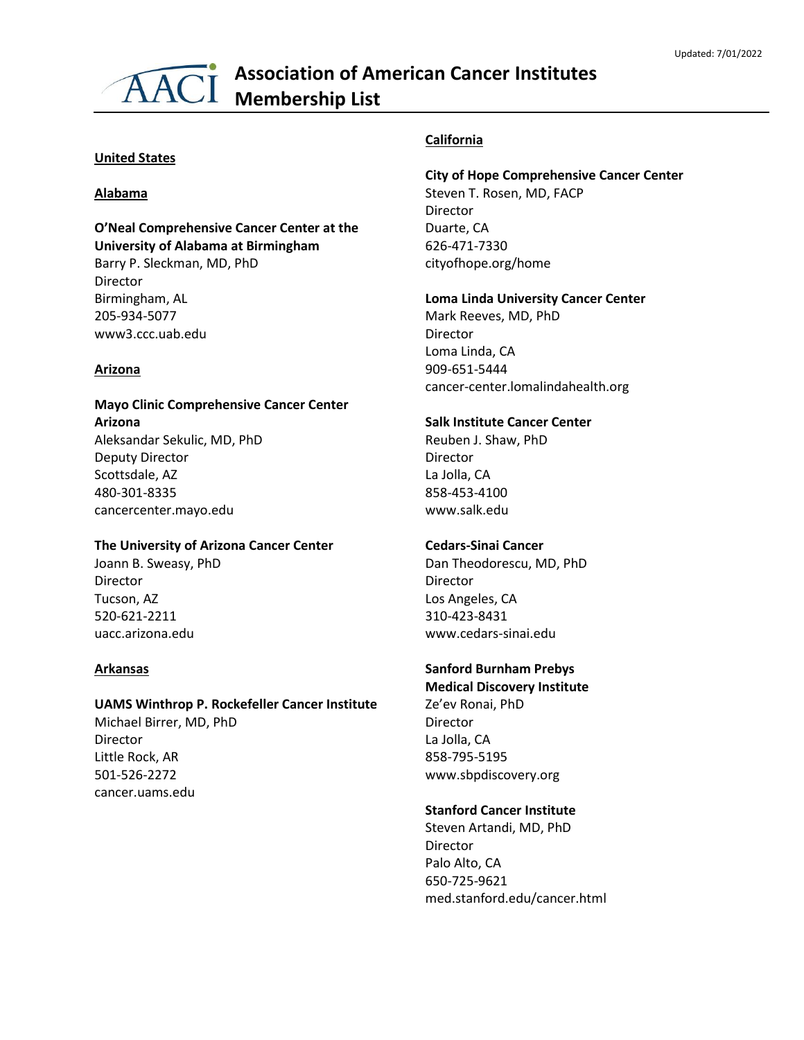# **Association of American Cancer Institutes** AACI Membership List

#### **United States**

#### **Alabama**

## **O'Neal Comprehensive Cancer Center at the University of Alabama at Birmingham**

Barry P. Sleckman, MD, PhD Director Birmingham, AL 205-934-5077 www3.ccc.uab.edu

#### **Arizona**

## **Mayo Clinic Comprehensive Cancer Center Arizona** Aleksandar Sekulic, MD, PhD Deputy Director Scottsdale, AZ 480-301-8335 cancercenter.mayo.edu

## **The University of Arizona Cancer Center**

Joann B. Sweasy, PhD Director Tucson, AZ 520-621-2211 uacc.arizona.edu

#### **Arkansas**

## **UAMS Winthrop P. Rockefeller Cancer Institute**

Michael Birrer, MD, PhD Director Little Rock, AR 501-526-2272 cancer.uams.edu

## **California**

## **City of Hope Comprehensive Cancer Center** Steven T. Rosen, MD, FACP

Director Duarte, CA 626-471-7330 cityofhope.org/home

#### **Loma Linda University Cancer Center**

Mark Reeves, MD, PhD Director Loma Linda, CA 909-651-5444 cancer-center.lomalindahealth.org

#### **Salk Institute Cancer Center**

Reuben J. Shaw, PhD Director La Jolla, CA 858-453-4100 www.salk.edu

## **Cedars-Sinai Cancer**

Dan Theodorescu, MD, PhD Director Los Angeles, CA 310-423-8431 www.cedars-sinai.edu

## **Sanford Burnham Prebys**

**Medical Discovery Institute** Ze'ev Ronai, PhD Director La Jolla, CA 858-795-5195 www.sbpdiscovery.org

## **Stanford Cancer Institute**

Steven Artandi, MD, PhD Director Palo Alto, CA 650-725-9621 med.stanford.edu/cancer.html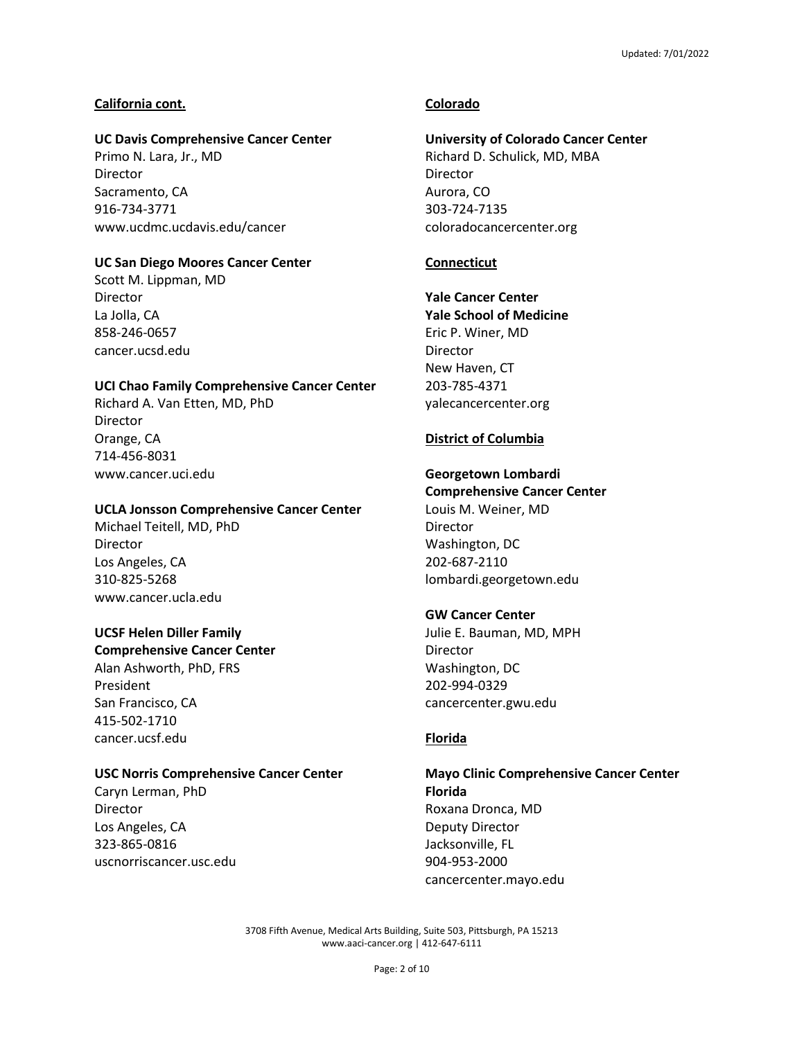## **California cont.**

## **UC Davis Comprehensive Cancer Center**

Primo N. Lara, Jr., MD Director Sacramento, CA 916-734-3771 www.ucdmc.ucdavis.edu/cancer

## **UC San Diego Moores Cancer Center**

Scott M. Lippman, MD Director La Jolla, CA 858-246-0657 cancer.ucsd.edu

## **UCI Chao Family Comprehensive Cancer Center**

Richard A. Van Etten, MD, PhD Director Orange, CA 714-456-8031 www.cancer.uci.edu

## **UCLA Jonsson Comprehensive Cancer Center**

Michael Teitell, MD, PhD Director Los Angeles, CA 310-825-5268 www.cancer.ucla.edu

## **UCSF Helen Diller Family**

**Comprehensive Cancer Center** Alan Ashworth, PhD, FRS President San Francisco, CA 415-502-1710 cancer.ucsf.edu

## **USC Norris Comprehensive Cancer Center**

Caryn Lerman, PhD Director Los Angeles, CA 323-865-0816 uscnorriscancer.usc.edu

## **Colorado**

## **University of Colorado Cancer Center**

Richard D. Schulick, MD, MBA Director Aurora, CO 303-724-7135 coloradocancercenter.org

## **Connecticut**

**Yale Cancer Center Yale School of Medicine** Eric P. Winer, MD Director New Haven, CT 203-785-4371 yalecancercenter.org

## **District of Columbia**

## **Georgetown Lombardi Comprehensive Cancer Center**

Louis M. Weiner, MD **Director** Washington, DC 202-687-2110 lombardi.georgetown.edu

## **GW Cancer Center**

Julie E. Bauman, MD, MPH Director Washington, DC 202-994-0329 cancercenter.gwu.edu

## **Florida**

**Mayo Clinic Comprehensive Cancer Center Florida** Roxana Dronca, MD Deputy Director Jacksonville, FL 904-953-2000 cancercenter.mayo.edu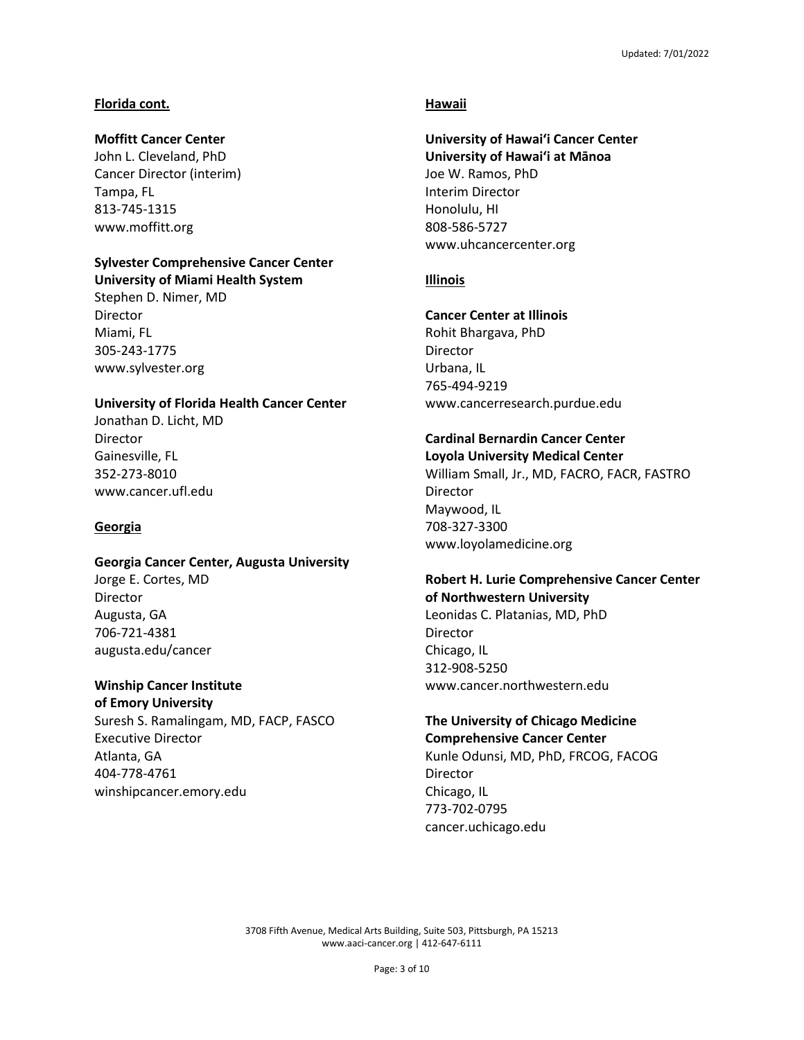## **Florida cont.**

## **Moffitt Cancer Center**

John L. Cleveland, PhD Cancer Director (interim) Tampa, FL 813-745-1315 www.moffitt.org

## **Sylvester Comprehensive Cancer Center**

**University of Miami Health System** Stephen D. Nimer, MD Director Miami, FL 305-243-1775 www.sylvester.org

## **University of Florida Health Cancer Center**

Jonathan D. Licht, MD Director Gainesville, FL 352-273-8010 www.cancer.ufl.edu

## **Georgia**

## **Georgia Cancer Center, Augusta University**

Jorge E. Cortes, MD Director Augusta, GA 706-721-4381 augusta.edu/cancer

**Winship Cancer Institute of Emory University** Suresh S. Ramalingam, MD, FACP, FASCO Executive Director Atlanta, GA 404-778-4761 winshipcancer.emory.edu

## **Hawaii**

## **University of Hawai'i Cancer Center University of Hawai'i at Mānoa** Joe W. Ramos, PhD Interim Director Honolulu, HI 808-586-5727 www.uhcancercenter.org

## **Illinois**

## **Cancer Center at Illinois**

Rohit Bhargava, PhD Director Urbana, IL 765-494-9219 www.cancerresearch.purdue.edu

## **Cardinal Bernardin Cancer Center**

**Loyola University Medical Center** William Small, Jr., MD, FACRO, FACR, FASTRO Director Maywood, IL 708-327-3300 www.loyolamedicine.org

#### **Robert H. Lurie Comprehensive Cancer Center of Northwestern University**

Leonidas C. Platanias, MD, PhD Director Chicago, IL 312-908-5250 www.cancer.northwestern.edu

#### **The University of Chicago Medicine Comprehensive Cancer Center**

Kunle Odunsi, MD, PhD, FRCOG, FACOG Director Chicago, IL 773-702-0795 cancer.uchicago.edu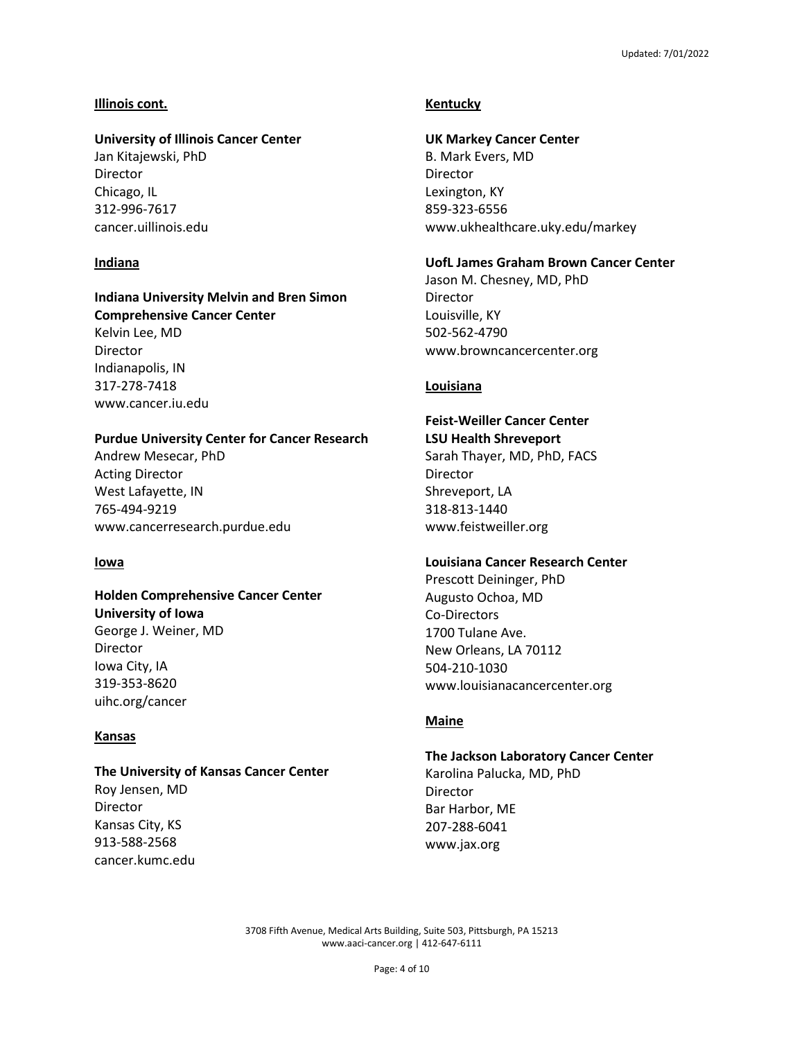#### **Illinois cont.**

## **University of Illinois Cancer Center**

Jan Kitajewski, PhD Director Chicago, IL 312-996-7617 cancer.uillinois.edu

## **Indiana**

#### **Indiana University Melvin and Bren Simon Comprehensive Cancer Center**

Kelvin Lee, MD Director Indianapolis, IN 317-278-7418 www.cancer.iu.edu

## **Purdue University Center for Cancer Research**

Andrew Mesecar, PhD Acting Director West Lafayette, IN 765-494-9219 www.cancerresearch.purdue.edu

#### **Iowa**

## **Holden Comprehensive Cancer Center University of Iowa**

George J. Weiner, MD Director Iowa City, IA 319-353-8620 uihc.org/cancer

## **Kansas**

#### **The University of Kansas Cancer Center**

Roy Jensen, MD Director Kansas City, KS 913-588-2568 cancer.kumc.edu

## **Kentucky**

#### **UK Markey Cancer Center**

B. Mark Evers, MD Director Lexington, KY 859-323-6556 www.ukhealthcare.uky.edu/markey

## **UofL James Graham Brown Cancer Center**

Jason M. Chesney, MD, PhD Director Louisville, KY 502-562-4790 www.browncancercenter.org

#### **Louisiana**

## **Feist-Weiller Cancer Center**

**LSU Health Shreveport** Sarah Thayer, MD, PhD, FACS Director Shreveport, LA 318-813-1440 www.feistweiller.org

## **Louisiana Cancer Research Center**

Prescott Deininger, PhD Augusto Ochoa, MD Co-Directors 1700 Tulane Ave. New Orleans, LA 70112 504-210-1030 www.louisianacancercenter.org

## **Maine**

## **The Jackson Laboratory Cancer Center**

Karolina Palucka, MD, PhD Director Bar Harbor, ME 207-288-6041 www.jax.org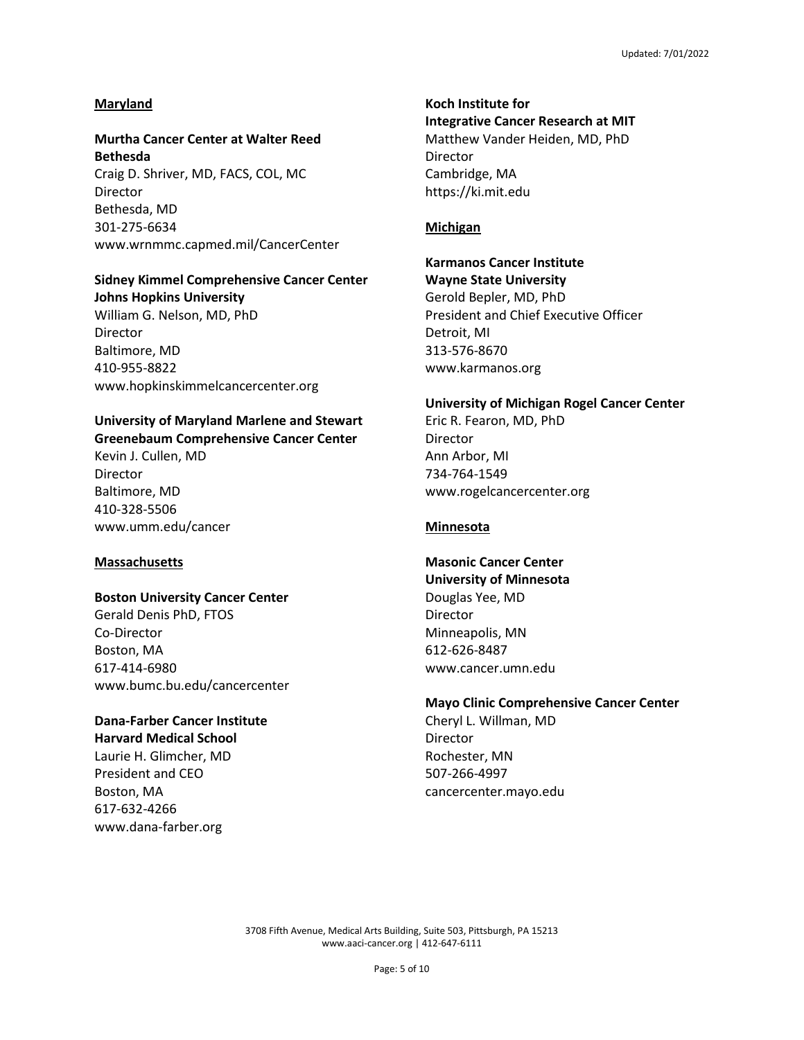#### **Maryland**

## **Murtha Cancer Center at Walter Reed Bethesda** Craig D. Shriver, MD, FACS, COL, MC Director Bethesda, MD 301-275-6634 www.wrnmmc.capmed.mil/CancerCenter

#### **Sidney Kimmel Comprehensive Cancer Center Johns Hopkins University**

William G. Nelson, MD, PhD Director Baltimore, MD 410-955-8822 www.hopkinskimmelcancercenter.org

#### **University of Maryland Marlene and Stewart Greenebaum Comprehensive Cancer Center**

Kevin J. Cullen, MD Director Baltimore, MD 410-328-5506 www.umm.edu/cancer

#### **Massachusetts**

#### **Boston University Cancer Center**

Gerald Denis PhD, FTOS Co-Director Boston, MA 617-414-6980 www.bumc.bu.edu/cancercenter

## **Dana-Farber Cancer Institute Harvard Medical School**

Laurie H. Glimcher, MD President and CEO Boston, MA 617-632-4266 www.dana-farber.org

## **Koch Institute for Integrative Cancer Research at MIT** Matthew Vander Heiden, MD, PhD Director Cambridge, MA https://ki.mit.edu

#### **Michigan**

## **Karmanos Cancer Institute**

**Wayne State University** Gerold Bepler, MD, PhD President and Chief Executive Officer Detroit, MI 313-576-8670 www.karmanos.org

#### **University of Michigan Rogel Cancer Center**

Eric R. Fearon, MD, PhD Director Ann Arbor, MI 734-764-1549 www.rogelcancercenter.org

## **Minnesota**

## **Masonic Cancer Center**

**University of Minnesota** Douglas Yee, MD Director Minneapolis, MN 612-626-8487 www.cancer.umn.edu

## **Mayo Clinic Comprehensive Cancer Center**

Cheryl L. Willman, MD Director Rochester, MN 507-266-4997 cancercenter.mayo.edu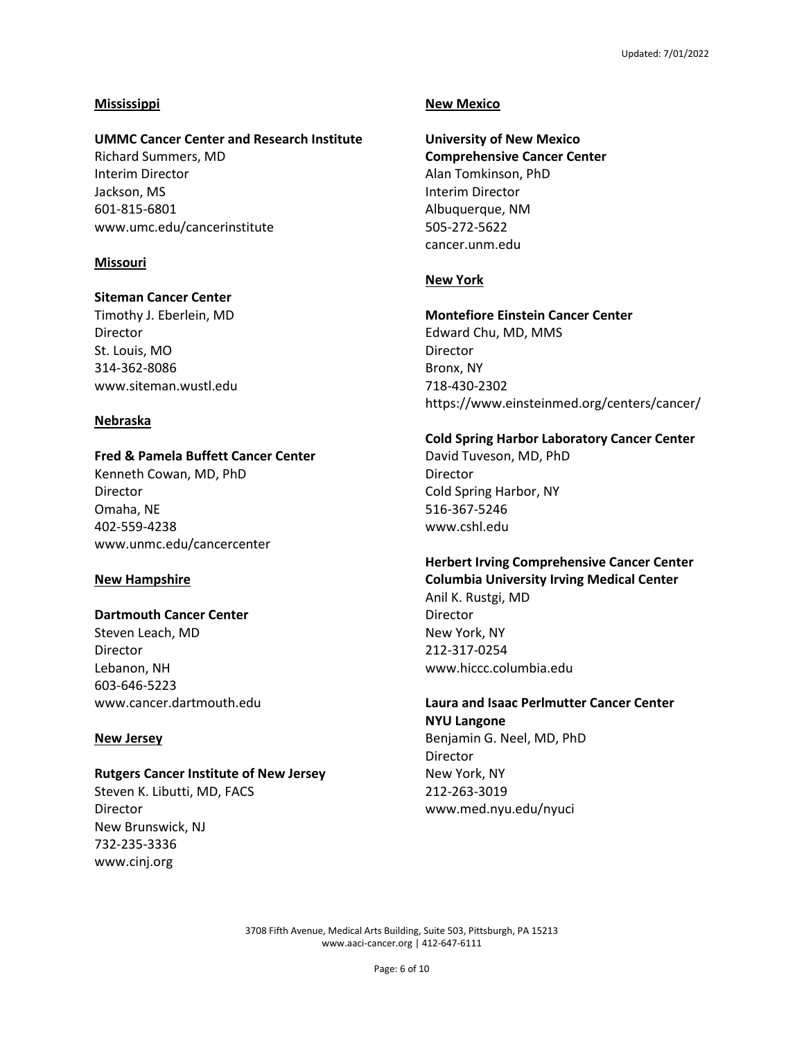## **Mississippi**

#### **UMMC Cancer Center and Research Institute**

Richard Summers, MD Interim Director Jackson, MS 601-815-6801 www.umc.edu/cancerinstitute

#### **Missouri**

#### **Siteman Cancer Center**

Timothy J. Eberlein, MD Director St. Louis, MO 314-362-8086 www.siteman.wustl.edu

## **Nebraska**

## **Fred & Pamela Buffett Cancer Center**

Kenneth Cowan, MD, PhD Director Omaha, NE 402-559-4238 www.unmc.edu/cancercenter

#### **New Hampshire**

## **Dartmouth Cancer Center**

Steven Leach, MD Director Lebanon, NH 603-646-5223 www.cancer.dartmouth.edu

#### **New Jersey**

#### **Rutgers Cancer Institute of New Jersey**

Steven K. Libutti, MD, FACS Director New Brunswick, NJ 732-235-3336 www.cinj.org

#### **New Mexico**

**University of New Mexico Comprehensive Cancer Center** Alan Tomkinson, PhD Interim Director Albuquerque, NM 505-272-5622 cancer.unm.edu

## **New York**

#### **Montefiore Einstein Cancer Center**

Edward Chu, MD, MMS Director Bronx, NY 718-430-2302 https://www.einsteinmed.org/centers/cancer/

#### **Cold Spring Harbor Laboratory Cancer Center**

David Tuveson, MD, PhD **Director** Cold Spring Harbor, NY 516-367-5246 www.cshl.edu

## **Herbert Irving Comprehensive Cancer Center**

**Columbia University Irving Medical Center** Anil K. Rustgi, MD Director New York, NY 212-317-0254 www.hiccc.columbia.edu

## **Laura and Isaac Perlmutter Cancer Center NYU Langone** Benjamin G. Neel, MD, PhD

Director New York, NY 212-263-3019 www.med.nyu.edu/nyuci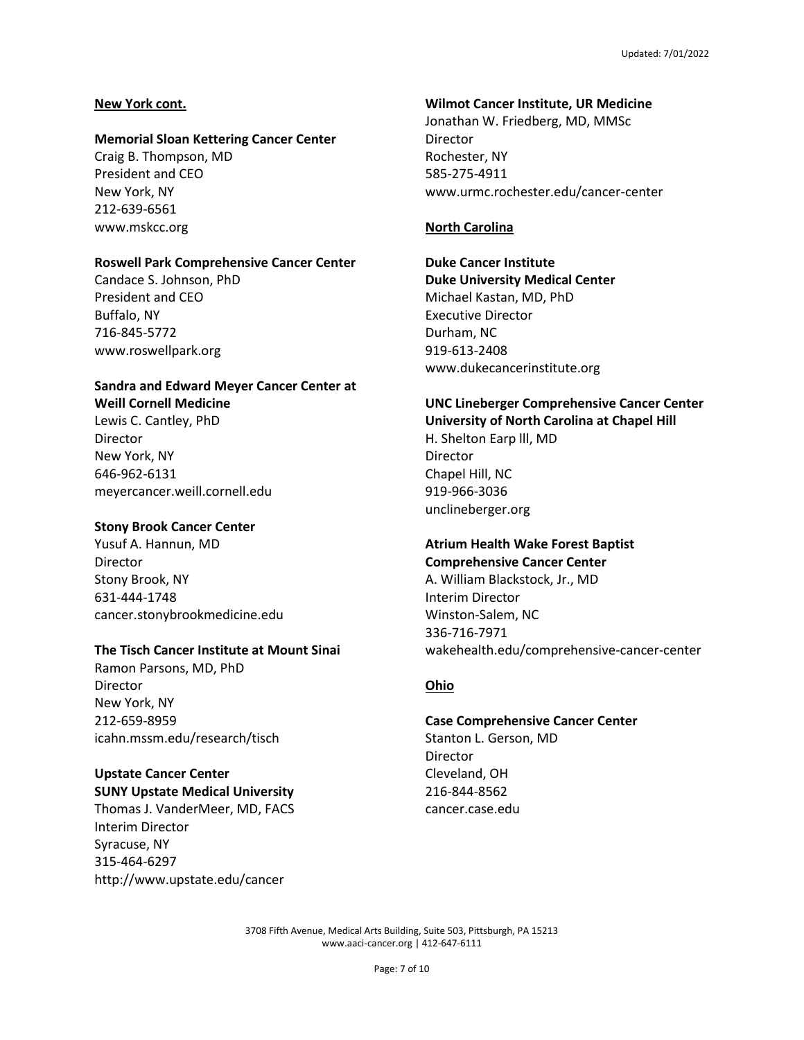## **New York cont.**

#### **Memorial Sloan Kettering Cancer Center**

Craig B. Thompson, MD President and CEO New York, NY 212-639-6561 www.mskcc.org

## **Roswell Park Comprehensive Cancer Center**

Candace S. Johnson, PhD President and CEO Buffalo, NY 716-845-5772 www.roswellpark.org

## **Sandra and Edward Meyer Cancer Center at Weill Cornell Medicine**

Lewis C. Cantley, PhD Director New York, NY 646-962-6131 meyercancer.weill.cornell.edu

## **Stony Brook Cancer Center**

Yusuf A. Hannun, MD Director Stony Brook, NY 631-444-1748 cancer.stonybrookmedicine.edu

## **The Tisch Cancer Institute at Mount Sinai**

Ramon Parsons, MD, PhD Director New York, NY 212-659-8959 icahn.mssm.edu/research/tisch

#### **Upstate Cancer Center SUNY Upstate Medical University**

Thomas J. VanderMeer, MD, FACS Interim Director Syracuse, NY 315-464-6297 http://www.upstate.edu/cancer

## **Wilmot Cancer Institute, UR Medicine**

Jonathan W. Friedberg, MD, MMSc Director Rochester, NY 585-275-4911 www.urmc.rochester.edu/cancer-center

## **North Carolina**

**Duke Cancer Institute Duke University Medical Center** Michael Kastan, MD, PhD Executive Director Durham, NC 919-613-2408 www.dukecancerinstitute.org

#### **UNC Lineberger Comprehensive Cancer Center University of North Carolina at Chapel Hill**

H. Shelton Earp lll, MD Director Chapel Hill, NC 919-966-3036 unclineberger.org

#### **Atrium Health Wake Forest Baptist Comprehensive Cancer Center**

A. William Blackstock, Jr., MD Interim Director Winston-Salem, NC 336-716-7971 wakehealth.edu/comprehensive-cancer-center

## **Ohio**

## **Case Comprehensive Cancer Center**

Stanton L. Gerson, MD Director Cleveland, OH 216-844-8562 cancer.case.edu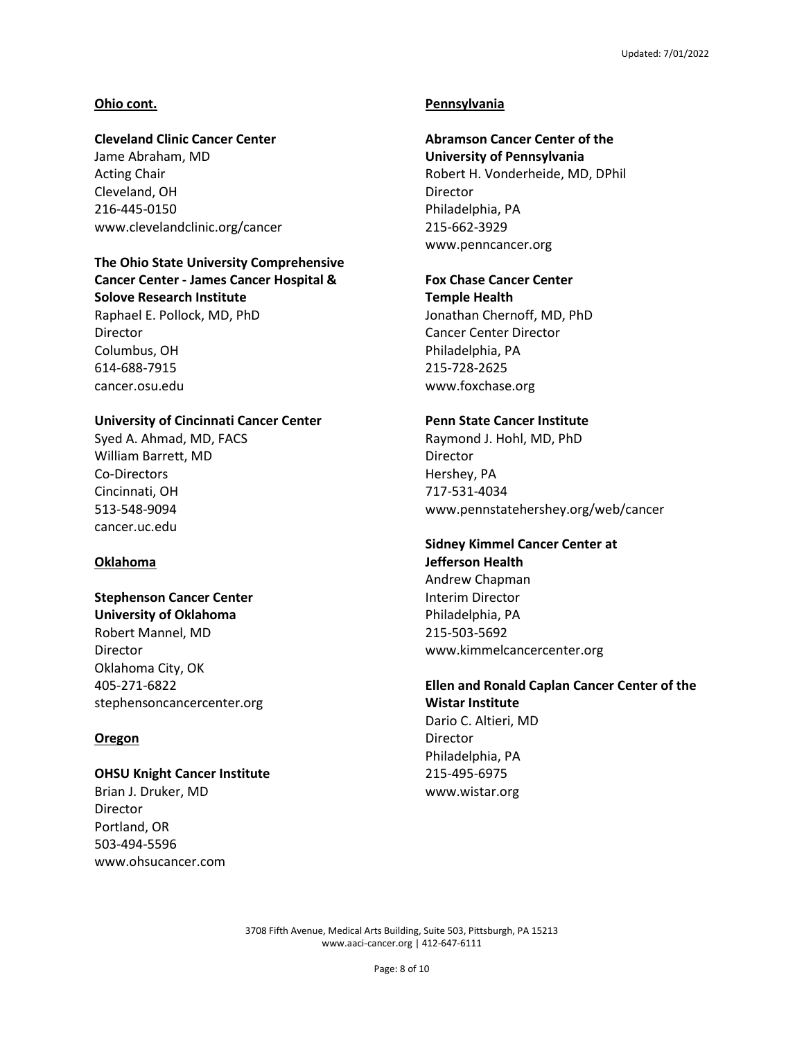## **Ohio cont.**

## **Cleveland Clinic Cancer Center**

Jame Abraham, MD Acting Chair Cleveland, OH 216-445-0150 www.clevelandclinic.org/cancer

## **The Ohio State University Comprehensive Cancer Center - James Cancer Hospital & Solove Research Institute**

Raphael E. Pollock, MD, PhD Director Columbus, OH 614-688-7915 cancer.osu.edu

## **University of Cincinnati Cancer Center**

Syed A. Ahmad, MD, FACS William Barrett, MD Co-Directors Cincinnati, OH 513-548-9094 cancer.uc.edu

#### **Oklahoma**

## **Stephenson Cancer Center University of Oklahoma** Robert Mannel, MD Director Oklahoma City, OK 405-271-6822 stephensoncancercenter.org

## **Oregon**

#### **OHSU Knight Cancer Institute**

Brian J. Druker, MD Director Portland, OR 503-494-5596 www.ohsucancer.com

## **Pennsylvania**

## **Abramson Cancer Center of the**

**University of Pennsylvania** Robert H. Vonderheide, MD, DPhil **Director** Philadelphia, PA 215-662-3929 www.penncancer.org

## **Fox Chase Cancer Center**

**Temple Health**  Jonathan Chernoff, MD, PhD Cancer Center Director Philadelphia, PA 215-728-2625 www.foxchase.org

## **Penn State Cancer Institute**

Raymond J. Hohl, MD, PhD Director Hershey, PA 717-531-4034 www.pennstatehershey.org/web/cancer

#### **Sidney Kimmel Cancer Center at Jefferson Health**

Andrew Chapman Interim Director Philadelphia, PA 215-503-5692 www.kimmelcancercenter.org

## **Ellen and Ronald Caplan Cancer Center of the Wistar Institute** Dario C. Altieri, MD

Director Philadelphia, PA 215-495-6975 www.wistar.org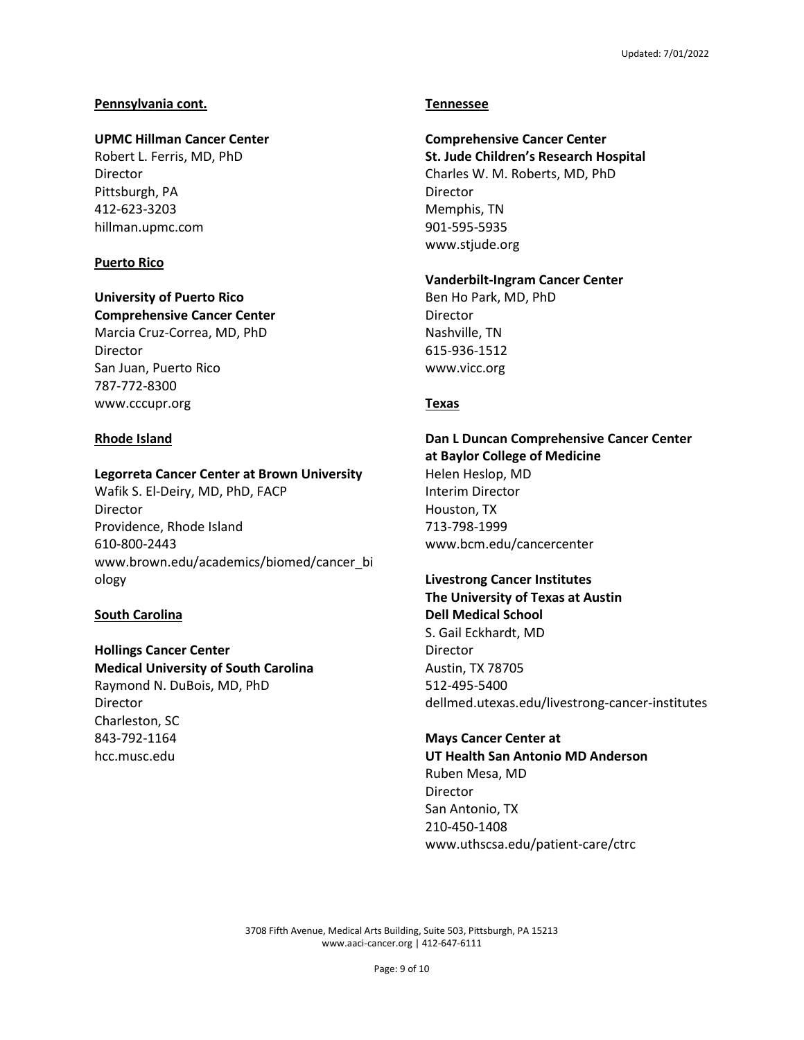## **Pennsylvania cont.**

## **UPMC Hillman Cancer Center**

Robert L. Ferris, MD, PhD Director Pittsburgh, PA 412-623-3203 hillman.upmc.com

## **Puerto Rico**

## **University of Puerto Rico Comprehensive Cancer Center**

Marcia Cruz-Correa, MD, PhD Director San Juan, Puerto Rico 787-772-8300 www.cccupr.org

## **Rhode Island**

## **Legorreta Cancer Center at Brown University**

Wafik S. El-Deiry, MD, PhD, FACP Director Providence, Rhode Island 610-800-2443 www.brown.edu/academics/biomed/cancer\_bi ology

#### **South Carolina**

## **Hollings Cancer Center Medical University of South Carolina** Raymond N. DuBois, MD, PhD Director Charleston, SC 843-792-1164 hcc.musc.edu

## **Tennessee**

## **Comprehensive Cancer Center**

**St. Jude Children's Research Hospital** Charles W. M. Roberts, MD, PhD **Director** Memphis, TN 901-595-5935 www.stjude.org

## **Vanderbilt-Ingram Cancer Center**

Ben Ho Park, MD, PhD Director Nashville, TN 615-936-1512 www.vicc.org

#### **Texas**

**Dan L Duncan Comprehensive Cancer Center at Baylor College of Medicine** Helen Heslop, MD Interim Director Houston, TX 713-798-1999 www.bcm.edu/cancercenter

## **Livestrong Cancer Institutes The University of Texas at Austin Dell Medical School** S. Gail Eckhardt, MD Director Austin, TX 78705 512-495-5400 dellmed.utexas.edu/livestrong-cancer-institutes

#### **Mays Cancer Center at**

**UT Health San Antonio MD Anderson** Ruben Mesa, MD Director San Antonio, TX 210-450-1408 www.uthscsa.edu/patient-care/ctrc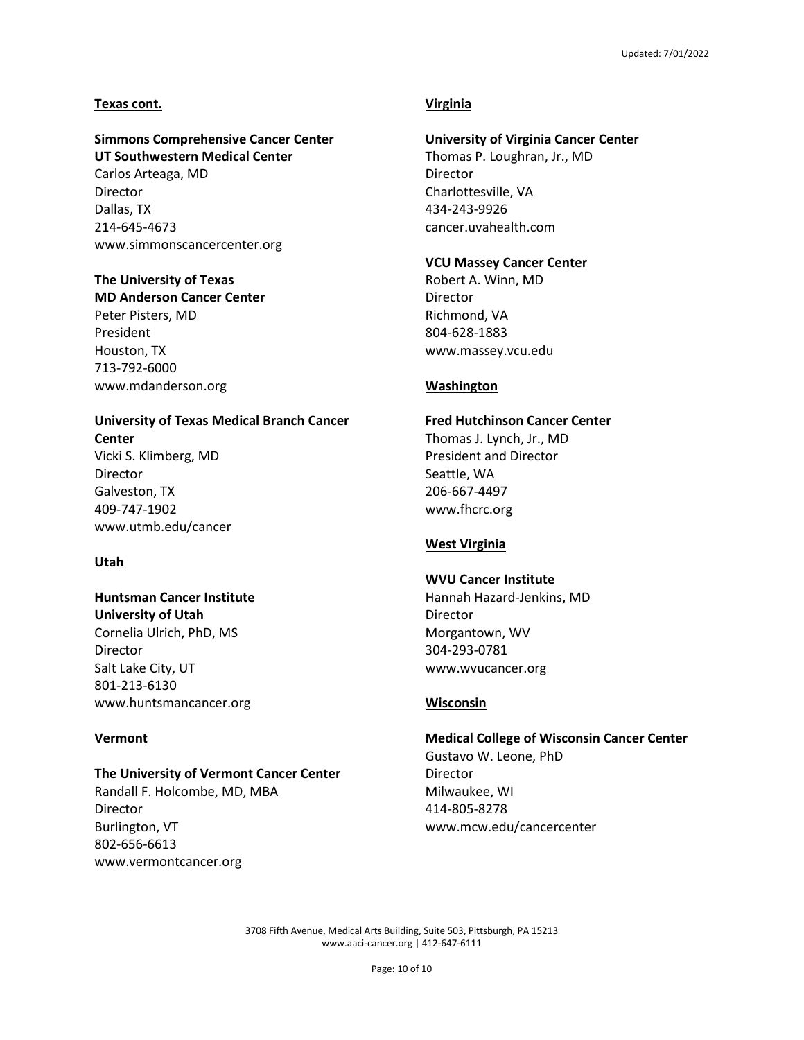#### **Texas cont.**

## **Simmons Comprehensive Cancer Center UT Southwestern Medical Center** Carlos Arteaga, MD Director Dallas, TX

214-645-4673 www.simmonscancercenter.org

## **The University of Texas**

**MD Anderson Cancer Center** Peter Pisters, MD President Houston, TX 713-792-6000 www.mdanderson.org

## **University of Texas Medical Branch Cancer Center** Vicki S. Klimberg, MD

Director Galveston, TX 409-747-1902 www.utmb.edu/cancer

## **Utah**

## **Huntsman Cancer Institute University of Utah**

Cornelia Ulrich, PhD, MS Director Salt Lake City, UT 801-213-6130 www.huntsmancancer.org

## **Vermont**

## **The University of Vermont Cancer Center**

Randall F. Holcombe, MD, MBA Director Burlington, VT 802-656-6613 www.vermontcancer.org

## **Virginia**

#### **University of Virginia Cancer Center**

Thomas P. Loughran, Jr., MD Director Charlottesville, VA 434-243-9926 cancer.uvahealth.com

#### **VCU Massey Cancer Center**

Robert A. Winn, MD Director Richmond, VA 804-628-1883 www.massey.vcu.edu

#### **Washington**

## **Fred Hutchinson Cancer Center**

Thomas J. Lynch, Jr., MD President and Director Seattle, WA 206-667-4497 www.fhcrc.org

## **West Virginia**

#### **WVU Cancer Institute**

Hannah Hazard-Jenkins, MD Director Morgantown, WV 304-293-0781 www.wvucancer.org

## **Wisconsin**

## **Medical College of Wisconsin Cancer Center**

Gustavo W. Leone, PhD Director Milwaukee, WI 414-805-8278 www.mcw.edu/cancercenter